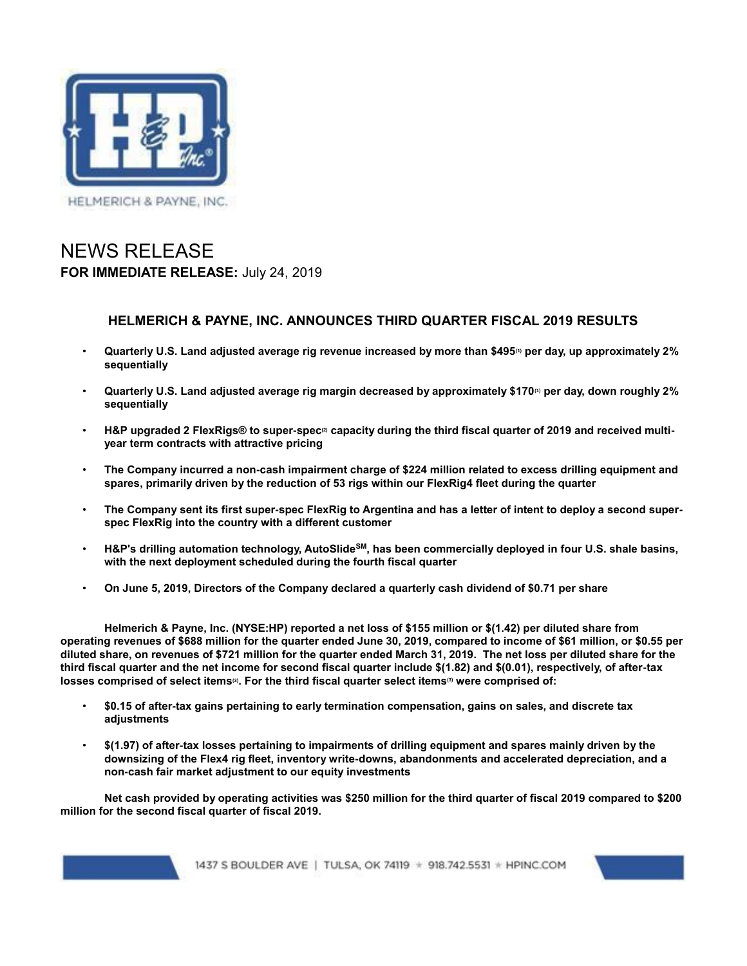

# NEWS RELEASE **FOR IMMEDIATE RELEASE:** July 24, 2019

## **HELMERICH & PAYNE, INC. ANNOUNCES THIRD QUARTER FISCAL 2019 RESULTS**

- **Quarterly U.S. Land adjusted average rig revenue increased by more than \$495(1) per day, up approximately 2% sequentially**
- **Quarterly U.S. Land adjusted average rig margin decreased by approximately \$170(1) per day, down roughly 2% sequentially**
- **H&P upgraded 2 FlexRigs® to super-spec(2) capacity during the third fiscal quarter of 2019 and received multiyear term contracts with attractive pricing**
- **The Company incurred a non-cash impairment charge of \$224 million related to excess drilling equipment and spares, primarily driven by the reduction of 53 rigs within our FlexRig4 fleet during the quarter**
- **The Company sent its first super-spec FlexRig to Argentina and has a letter of intent to deploy a second superspec FlexRig into the country with a different customer**
- **H&P's drilling automation technology, AutoSlideSM, has been commercially deployed in four U.S. shale basins, with the next deployment scheduled during the fourth fiscal quarter**
- **On June 5, 2019, Directors of the Company declared a quarterly cash dividend of \$0.71 per share**

**Helmerich & Payne, Inc. (NYSE:HP) reported a net loss of \$155 million or \$(1.42) per diluted share from operating revenues of \$688 million for the quarter ended June 30, 2019, compared to income of \$61 million, or \$0.55 per diluted share, on revenues of \$721 million for the quarter ended March 31, 2019. The net loss per diluted share for the third fiscal quarter and the net income for second fiscal quarter include \$(1.82) and \$(0.01), respectively, of after-tax losses comprised of select items(3). For the third fiscal quarter select items(3) were comprised of:**

- **\$0.15 of after-tax gains pertaining to early termination compensation, gains on sales, and discrete tax adjustments**
- **\$(1.97) of after-tax losses pertaining to impairments of drilling equipment and spares mainly driven by the downsizing of the Flex4 rig fleet, inventory write-downs, abandonments and accelerated depreciation, and a non-cash fair market adjustment to our equity investments**

**Net cash provided by operating activities was \$250 million for the third quarter of fiscal 2019 compared to \$200 million for the second fiscal quarter of fiscal 2019.**

1437 S BOULDER AVE | TULSA, OK 74119 \* 918.742.5531 \* HPINC.COM

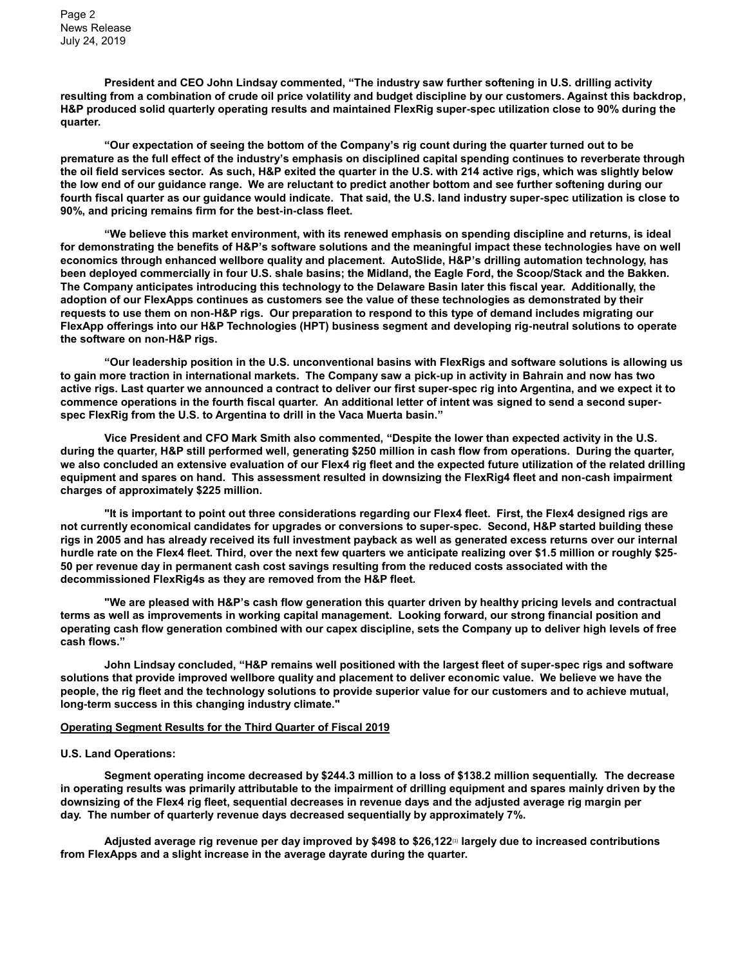Page 2 News Release July 24, 2019

**President and CEO John Lindsay commented, "The industry saw further softening in U.S. drilling activity resulting from a combination of crude oil price volatility and budget discipline by our customers. Against this backdrop, H&P produced solid quarterly operating results and maintained FlexRig super-spec utilization close to 90% during the quarter.**

**"Our expectation of seeing the bottom of the Company's rig count during the quarter turned out to be premature as the full effect of the industry's emphasis on disciplined capital spending continues to reverberate through the oil field services sector. As such, H&P exited the quarter in the U.S. with 214 active rigs, which was slightly below the low end of our guidance range. We are reluctant to predict another bottom and see further softening during our fourth fiscal quarter as our guidance would indicate. That said, the U.S. land industry super-spec utilization is close to 90%, and pricing remains firm for the best-in-class fleet.**

**"We believe this market environment, with its renewed emphasis on spending discipline and returns, is ideal for demonstrating the benefits of H&P's software solutions and the meaningful impact these technologies have on well economics through enhanced wellbore quality and placement. AutoSlide, H&P's drilling automation technology, has been deployed commercially in four U.S. shale basins; the Midland, the Eagle Ford, the Scoop/Stack and the Bakken. The Company anticipates introducing this technology to the Delaware Basin later this fiscal year. Additionally, the adoption of our FlexApps continues as customers see the value of these technologies as demonstrated by their requests to use them on non-H&P rigs. Our preparation to respond to this type of demand includes migrating our FlexApp offerings into our H&P Technologies (HPT) business segment and developing rig-neutral solutions to operate the software on non-H&P rigs.**

**"Our leadership position in the U.S. unconventional basins with FlexRigs and software solutions is allowing us to gain more traction in international markets. The Company saw a pick-up in activity in Bahrain and now has two active rigs. Last quarter we announced a contract to deliver our first super-spec rig into Argentina, and we expect it to commence operations in the fourth fiscal quarter. An additional letter of intent was signed to send a second superspec FlexRig from the U.S. to Argentina to drill in the Vaca Muerta basin."**

**Vice President and CFO Mark Smith also commented, "Despite the lower than expected activity in the U.S. during the quarter, H&P still performed well, generating \$250 million in cash flow from operations. During the quarter, we also concluded an extensive evaluation of our Flex4 rig fleet and the expected future utilization of the related drilling equipment and spares on hand. This assessment resulted in downsizing the FlexRig4 fleet and non-cash impairment charges of approximately \$225 million.**

**"It is important to point out three considerations regarding our Flex4 fleet. First, the Flex4 designed rigs are not currently economical candidates for upgrades or conversions to super-spec. Second, H&P started building these rigs in 2005 and has already received its full investment payback as well as generated excess returns over our internal hurdle rate on the Flex4 fleet. Third, over the next few quarters we anticipate realizing over \$1.5 million or roughly \$25- 50 per revenue day in permanent cash cost savings resulting from the reduced costs associated with the decommissioned FlexRig4s as they are removed from the H&P fleet.**

**"We are pleased with H&P's cash flow generation this quarter driven by healthy pricing levels and contractual terms as well as improvements in working capital management. Looking forward, our strong financial position and operating cash flow generation combined with our capex discipline, sets the Company up to deliver high levels of free cash flows."**

**John Lindsay concluded, "H&P remains well positioned with the largest fleet of super-spec rigs and software solutions that provide improved wellbore quality and placement to deliver economic value. We believe we have the people, the rig fleet and the technology solutions to provide superior value for our customers and to achieve mutual, long-term success in this changing industry climate."**

#### **Operating Segment Results for the Third Quarter of Fiscal 2019**

#### **U.S. Land Operations:**

**Segment operating income decreased by \$244.3 million to a loss of \$138.2 million sequentially. The decrease in operating results was primarily attributable to the impairment of drilling equipment and spares mainly driven by the downsizing of the Flex4 rig fleet, sequential decreases in revenue days and the adjusted average rig margin per day. The number of quarterly revenue days decreased sequentially by approximately 7%.**

**Adjusted average rig revenue per day improved by \$498 to \$26,122**(1) **largely due to increased contributions from FlexApps and a slight increase in the average dayrate during the quarter.**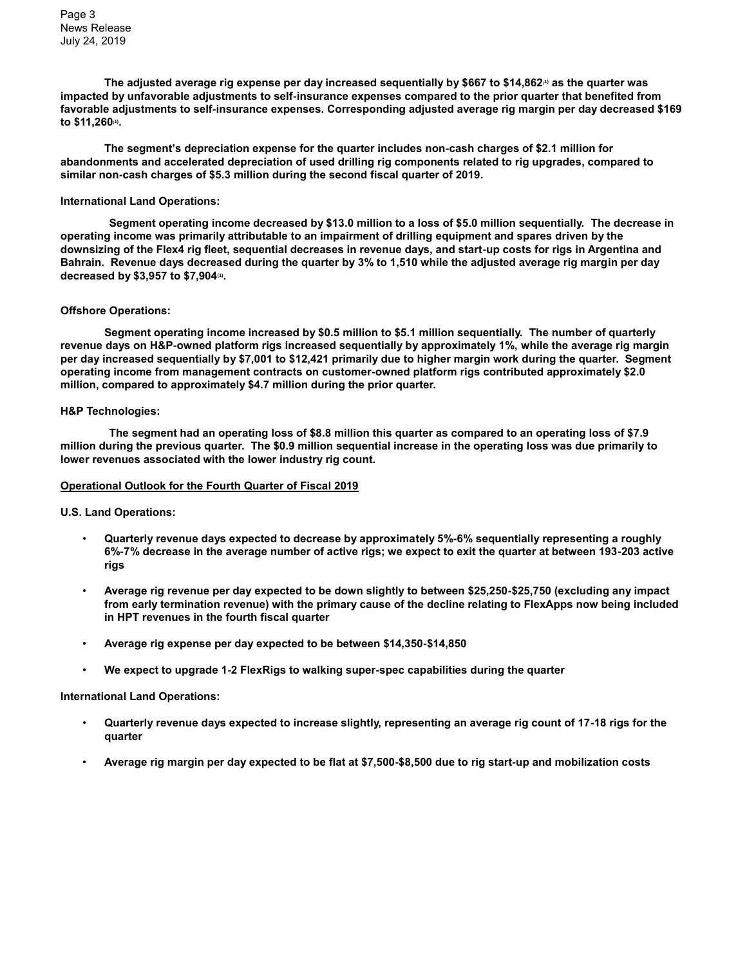Page 3 News Release July 24, 2019

**The adjusted average rig expense per day increased sequentially by \$667 to \$14,862(1) as the quarter was impacted by unfavorable adjustments to self-insurance expenses compared to the prior quarter that benefited from favorable adjustments to self-insurance expenses. Corresponding adjusted average rig margin per day decreased \$169 to \$11,260(1) .**

**The segment's depreciation expense for the quarter includes non-cash charges of \$2.1 million for abandonments and accelerated depreciation of used drilling rig components related to rig upgrades, compared to similar non-cash charges of \$5.3 million during the second fiscal quarter of 2019.**

#### **International Land Operations:**

**Segment operating income decreased by \$13.0 million to a loss of \$5.0 million sequentially. The decrease in operating income was primarily attributable to an impairment of drilling equipment and spares driven by the downsizing of the Flex4 rig fleet, sequential decreases in revenue days, and start-up costs for rigs in Argentina and Bahrain. Revenue days decreased during the quarter by 3% to 1,510 while the adjusted average rig margin per day decreased by \$3,957 to \$7,904(1) .**

#### **Offshore Operations:**

**Segment operating income increased by \$0.5 million to \$5.1 million sequentially. The number of quarterly revenue days on H&P-owned platform rigs increased sequentially by approximately 1%, while the average rig margin per day increased sequentially by \$7,001 to \$12,421 primarily due to higher margin work during the quarter. Segment operating income from management contracts on customer-owned platform rigs contributed approximately \$2.0 million, compared to approximately \$4.7 million during the prior quarter.**

#### **H&P Technologies:**

**The segment had an operating loss of \$8.8 million this quarter as compared to an operating loss of \$7.9 million during the previous quarter. The \$0.9 million sequential increase in the operating loss was due primarily to lower revenues associated with the lower industry rig count.**

#### **Operational Outlook for the Fourth Quarter of Fiscal 2019**

**U.S. Land Operations:**

- **Quarterly revenue days expected to decrease by approximately 5%-6% sequentially representing a roughly 6%-7% decrease in the average number of active rigs; we expect to exit the quarter at between 193-203 active rigs**
- **Average rig revenue per day expected to be down slightly to between \$25,250-\$25,750 (excluding any impact from early termination revenue) with the primary cause of the decline relating to FlexApps now being included in HPT revenues in the fourth fiscal quarter**
- **Average rig expense per day expected to be between \$14,350-\$14,850**
- **We expect to upgrade 1-2 FlexRigs to walking super-spec capabilities during the quarter**

#### **International Land Operations:**

- **Quarterly revenue days expected to increase slightly, representing an average rig count of 17-18 rigs for the quarter**
- **Average rig margin per day expected to be flat at \$7,500-\$8,500 due to rig start-up and mobilization costs**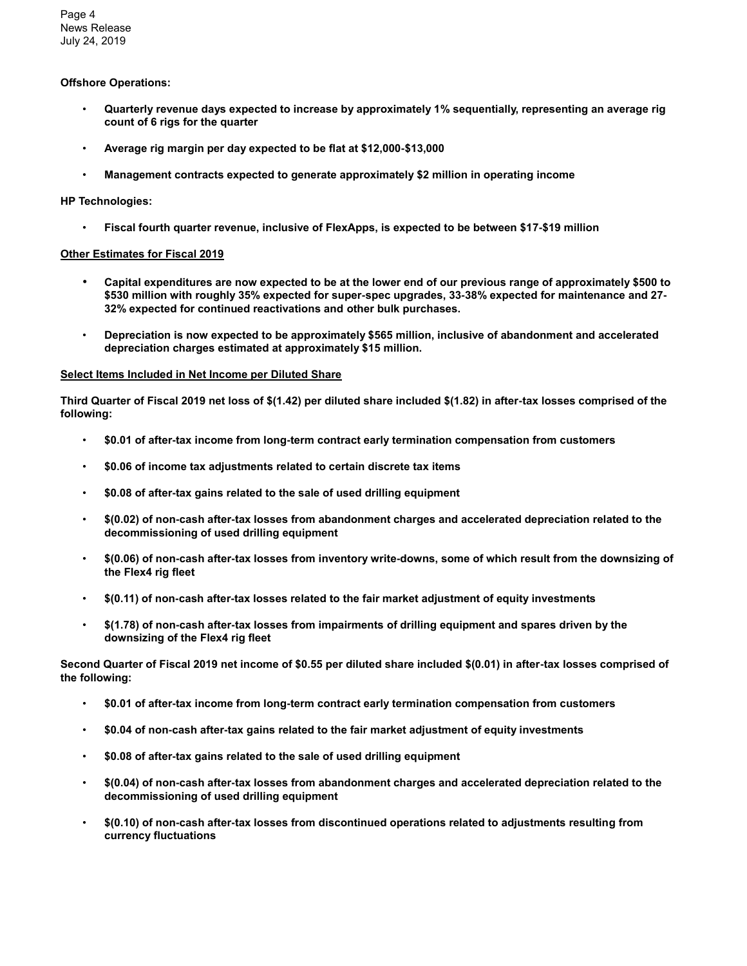Page 4 News Release July 24, 2019

## **Offshore Operations:**

- **Quarterly revenue days expected to increase by approximately 1% sequentially, representing an average rig count of 6 rigs for the quarter**
- **Average rig margin per day expected to be flat at \$12,000-\$13,000**
- **Management contracts expected to generate approximately \$2 million in operating income**

## **HP Technologies:**

• **Fiscal fourth quarter revenue, inclusive of FlexApps, is expected to be between \$17-\$19 million**

## **Other Estimates for Fiscal 2019**

- **Capital expenditures are now expected to be at the lower end of our previous range of approximately \$500 to \$530 million with roughly 35% expected for super-spec upgrades, 33-38% expected for maintenance and 27- 32% expected for continued reactivations and other bulk purchases.**
- **Depreciation is now expected to be approximately \$565 million, inclusive of abandonment and accelerated depreciation charges estimated at approximately \$15 million.**

#### **Select Items Included in Net Income per Diluted Share**

**Third Quarter of Fiscal 2019 net loss of \$(1.42) per diluted share included \$(1.82) in after-tax losses comprised of the following:**

- **\$0.01 of after-tax income from long-term contract early termination compensation from customers**
- **\$0.06 of income tax adjustments related to certain discrete tax items**
- **\$0.08 of after-tax gains related to the sale of used drilling equipment**
- **\$(0.02) of non-cash after-tax losses from abandonment charges and accelerated depreciation related to the decommissioning of used drilling equipment**
- **\$(0.06) of non-cash after-tax losses from inventory write-downs, some of which result from the downsizing of the Flex4 rig fleet**
- **\$(0.11) of non-cash after-tax losses related to the fair market adjustment of equity investments**
- **\$(1.78) of non-cash after-tax losses from impairments of drilling equipment and spares driven by the downsizing of the Flex4 rig fleet**

**Second Quarter of Fiscal 2019 net income of \$0.55 per diluted share included \$(0.01) in after-tax losses comprised of the following:**

- **\$0.01 of after-tax income from long-term contract early termination compensation from customers**
- **\$0.04 of non-cash after-tax gains related to the fair market adjustment of equity investments**
- **\$0.08 of after-tax gains related to the sale of used drilling equipment**
- **\$(0.04) of non-cash after-tax losses from abandonment charges and accelerated depreciation related to the decommissioning of used drilling equipment**
- **\$(0.10) of non-cash after-tax losses from discontinued operations related to adjustments resulting from currency fluctuations**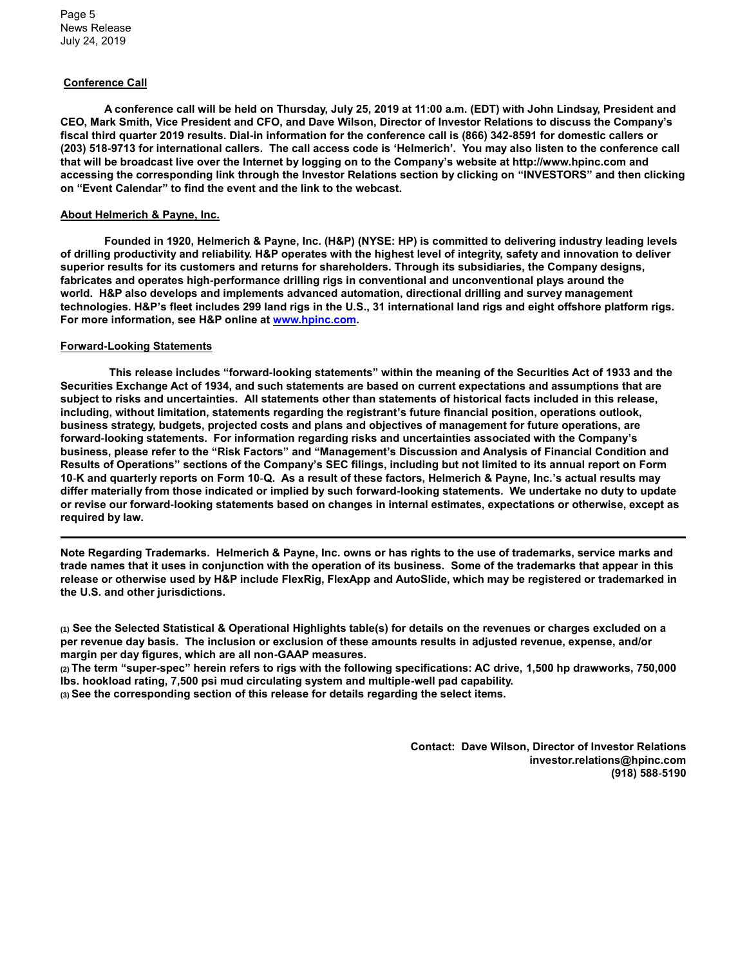#### **Conference Call**

**A conference call will be held on Thursday, July 25, 2019 at 11:00 a.m. (EDT) with John Lindsay, President and CEO, Mark Smith, Vice President and CFO, and Dave Wilson, Director of Investor Relations to discuss the Company's fiscal third quarter 2019 results. Dial-in information for the conference call is (866) 342-8591 for domestic callers or (203) 518-9713 for international callers. The call access code is 'Helmerich'. You may also listen to the conference call that will be broadcast live over the Internet by logging on to the Company's website at http://www.hpinc.com and accessing the corresponding link through the Investor Relations section by clicking on "INVESTORS" and then clicking on "Event Calendar" to find the event and the link to the webcast.**

#### **About Helmerich & Payne, Inc.**

**Founded in 1920, Helmerich & Payne, Inc. (H&P) (NYSE: HP) is committed to delivering industry leading levels of drilling productivity and reliability. H&P operates with the highest level of integrity, safety and innovation to deliver superior results for its customers and returns for shareholders. Through its subsidiaries, the Company designs, fabricates and operates high-performance drilling rigs in conventional and unconventional plays around the world. H&P also develops and implements advanced automation, directional drilling and survey management technologies. H&P's fleet includes 299 land rigs in the U.S., 31 international land rigs and eight offshore platform rigs. For more information, see H&P online at [www.hpinc.com.](http://)**

#### **Forward-Looking Statements**

**This release includes "forward-looking statements" within the meaning of the Securities Act of 1933 and the Securities Exchange Act of 1934, and such statements are based on current expectations and assumptions that are subject to risks and uncertainties. All statements other than statements of historical facts included in this release, including, without limitation, statements regarding the registrant's future financial position, operations outlook, business strategy, budgets, projected costs and plans and objectives of management for future operations, are forward-looking statements. For information regarding risks and uncertainties associated with the Company's business, please refer to the "Risk Factors" and "Management's Discussion and Analysis of Financial Condition and Results of Operations" sections of the Company's SEC filings, including but not limited to its annual report on Form 10**-**K and quarterly reports on Form 10**-**Q. As a result of these factors, Helmerich & Payne, Inc.'s actual results may differ materially from those indicated or implied by such forward-looking statements. We undertake no duty to update or revise our forward-looking statements based on changes in internal estimates, expectations or otherwise, except as required by law.**

**Note Regarding Trademarks. Helmerich & Payne, Inc. owns or has rights to the use of trademarks, service marks and trade names that it uses in conjunction with the operation of its business. Some of the trademarks that appear in this release or otherwise used by H&P include FlexRig, FlexApp and AutoSlide, which may be registered or trademarked in the U.S. and other jurisdictions.**

**(1) See the Selected Statistical & Operational Highlights table(s) for details on the revenues or charges excluded on a per revenue day basis. The inclusion or exclusion of these amounts results in adjusted revenue, expense, and/or margin per day figures, which are all non-GAAP measures.**

**(2) The term "super-spec" herein refers to rigs with the following specifications: AC drive, 1,500 hp drawworks, 750,000 lbs. hookload rating, 7,500 psi mud circulating system and multiple-well pad capability.**

**(3) See the corresponding section of this release for details regarding the select items.**

**Contact: Dave Wilson, Director of Investor Relations investor.relations@hpinc.com (918) 588**-**5190**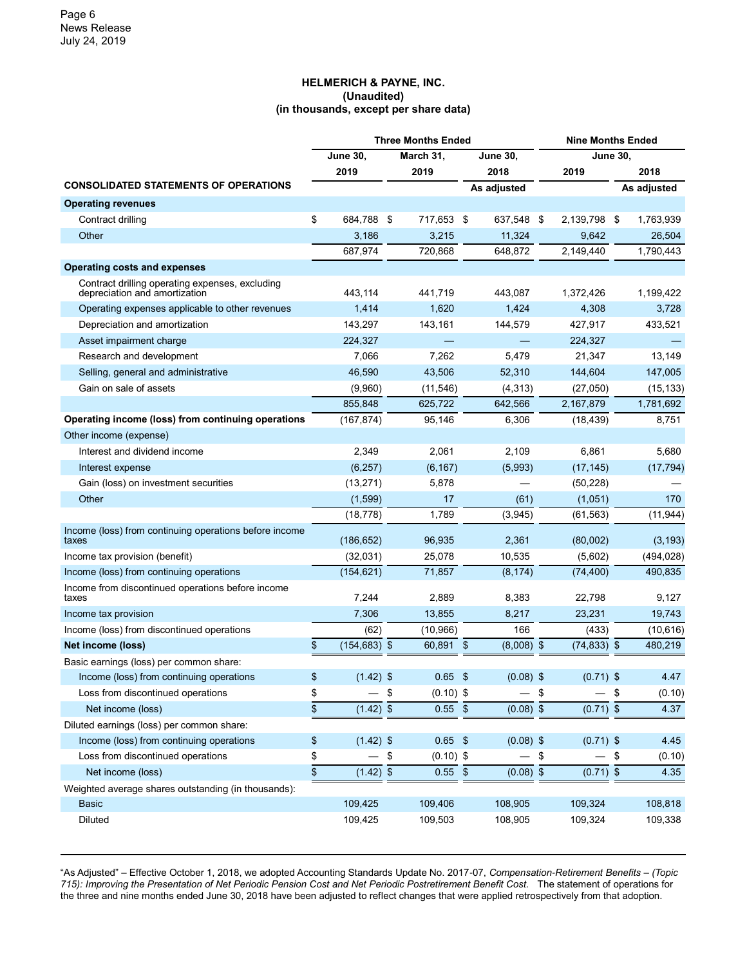### **HELMERICH & PAYNE, INC. (Unaudited) (in thousands, except per share data)**

|                                                                                  | <b>Three Months Ended</b>    |     |                 |    |              |                 | <b>Nine Months Ended</b> |     |             |  |  |
|----------------------------------------------------------------------------------|------------------------------|-----|-----------------|----|--------------|-----------------|--------------------------|-----|-------------|--|--|
|                                                                                  | <b>June 30,</b><br>March 31, |     | <b>June 30,</b> |    |              | <b>June 30,</b> |                          |     |             |  |  |
|                                                                                  | 2019                         |     | 2019            |    | 2018         |                 | 2019                     |     | 2018        |  |  |
| <b>CONSOLIDATED STATEMENTS OF OPERATIONS</b>                                     |                              |     |                 |    | As adjusted  |                 |                          |     | As adjusted |  |  |
| <b>Operating revenues</b>                                                        |                              |     |                 |    |              |                 |                          |     |             |  |  |
| Contract drilling                                                                | \$<br>684,788                | -\$ | 717,653 \$      |    | 637,548 \$   |                 | 2,139,798 \$             |     | 1,763,939   |  |  |
| Other                                                                            | 3,186                        |     | 3,215           |    | 11,324       |                 | 9,642                    |     | 26,504      |  |  |
|                                                                                  | 687,974                      |     | 720,868         |    | 648,872      |                 | 2,149,440                |     | 1,790,443   |  |  |
| Operating costs and expenses                                                     |                              |     |                 |    |              |                 |                          |     |             |  |  |
| Contract drilling operating expenses, excluding<br>depreciation and amortization | 443,114                      |     | 441,719         |    | 443,087      |                 | 1,372,426                |     | 1,199,422   |  |  |
| Operating expenses applicable to other revenues                                  | 1,414                        |     | 1,620           |    | 1,424        |                 | 4,308                    |     | 3,728       |  |  |
| Depreciation and amortization                                                    | 143,297                      |     | 143,161         |    | 144,579      |                 | 427,917                  |     | 433,521     |  |  |
| Asset impairment charge                                                          | 224,327                      |     |                 |    |              |                 | 224,327                  |     |             |  |  |
| Research and development                                                         | 7,066                        |     | 7,262           |    | 5,479        |                 | 21,347                   |     | 13,149      |  |  |
| Selling, general and administrative                                              | 46,590                       |     | 43,506          |    | 52,310       |                 | 144,604                  |     | 147,005     |  |  |
| Gain on sale of assets                                                           | (9,960)                      |     | (11, 546)       |    | (4, 313)     |                 | (27,050)                 |     | (15, 133)   |  |  |
|                                                                                  | 855,848                      |     | 625,722         |    | 642,566      |                 | 2,167,879                |     | 1,781,692   |  |  |
| Operating income (loss) from continuing operations                               | (167, 874)                   |     | 95,146          |    | 6,306        |                 | (18, 439)                |     | 8,751       |  |  |
| Other income (expense)                                                           |                              |     |                 |    |              |                 |                          |     |             |  |  |
| Interest and dividend income                                                     | 2,349                        |     | 2,061           |    | 2,109        |                 | 6,861                    |     | 5,680       |  |  |
| Interest expense                                                                 | (6, 257)                     |     | (6, 167)        |    | (5,993)      |                 | (17, 145)                |     | (17, 794)   |  |  |
| Gain (loss) on investment securities                                             | (13, 271)                    |     | 5,878           |    |              |                 | (50, 228)                |     |             |  |  |
| Other                                                                            | (1,599)                      |     | 17              |    | (61)         |                 | (1,051)                  |     | 170         |  |  |
|                                                                                  | (18, 778)                    |     | 1,789           |    | (3,945)      |                 | (61, 563)                |     | (11, 944)   |  |  |
| Income (loss) from continuing operations before income<br>taxes                  | (186, 652)                   |     | 96,935          |    | 2,361        |                 | (80,002)                 |     | (3, 193)    |  |  |
| Income tax provision (benefit)                                                   | (32,031)                     |     | 25,078          |    | 10,535       |                 | (5,602)                  |     | (494, 028)  |  |  |
| Income (loss) from continuing operations                                         | (154, 621)                   |     | 71,857          |    | (8, 174)     |                 | (74, 400)                |     | 490,835     |  |  |
| Income from discontinued operations before income<br>taxes                       | 7,244                        |     | 2,889           |    | 8,383        |                 | 22,798                   |     | 9,127       |  |  |
| Income tax provision                                                             | 7,306                        |     | 13,855          |    | 8,217        |                 | 23,231                   |     | 19,743      |  |  |
| Income (loss) from discontinued operations                                       | (62)                         |     | (10, 966)       |    | 166          |                 | (433)                    |     | (10, 616)   |  |  |
| Net income (loss)                                                                | \$<br>$(154, 683)$ \$        |     | 60,891 \$       |    | $(8,008)$ \$ |                 | $(74, 833)$ \$           |     | 480,219     |  |  |
| Basic earnings (loss) per common share:                                          |                              |     |                 |    |              |                 |                          |     |             |  |  |
| Income (loss) from continuing operations                                         | \$<br>$(1.42)$ \$            |     | 0.65            | \$ | $(0.08)$ \$  |                 | $(0.71)$ \$              |     | 4.47        |  |  |
| Loss from discontinued operations                                                | \$                           | \$  | $(0.10)$ \$     |    |              | \$              |                          | \$  | (0.10)      |  |  |
| Net income (loss)                                                                | \$<br>$(1.42)$ \$            |     | $0.55$ \$       |    | $(0.08)$ \$  |                 | $(0.71)$ \$              |     | 4.37        |  |  |
| Diluted earnings (loss) per common share:                                        |                              |     |                 |    |              |                 |                          |     |             |  |  |
| Income (loss) from continuing operations                                         | \$<br>$(1.42)$ \$            |     | $0.65$ \$       |    | $(0.08)$ \$  |                 | $(0.71)$ \$              |     | 4.45        |  |  |
| Loss from discontinued operations                                                | \$                           | \$  | $(0.10)$ \$     |    |              | \$              |                          | -\$ | (0.10)      |  |  |
| Net income (loss)                                                                | \$<br>$(1.42)$ \$            |     | $0.55$ \$       |    | $(0.08)$ \$  |                 | $(0.71)$ \$              |     | 4.35        |  |  |
| Weighted average shares outstanding (in thousands):                              |                              |     |                 |    |              |                 |                          |     |             |  |  |
| <b>Basic</b>                                                                     | 109,425                      |     | 109,406         |    | 108,905      |                 | 109,324                  |     | 108,818     |  |  |
| Diluted                                                                          | 109,425                      |     | 109,503         |    | 108,905      |                 | 109,324                  |     | 109,338     |  |  |

"As Adjusted" – Effective October 1, 2018, we adopted Accounting Standards Update No. 2017-07, *Compensation-Retirement Benefits – (Topic 715): Improving the Presentation of Net Periodic Pension Cost and Net Periodic Postretirement Benefit Cost.* The statement of operations for the three and nine months ended June 30, 2018 have been adjusted to reflect changes that were applied retrospectively from that adoption.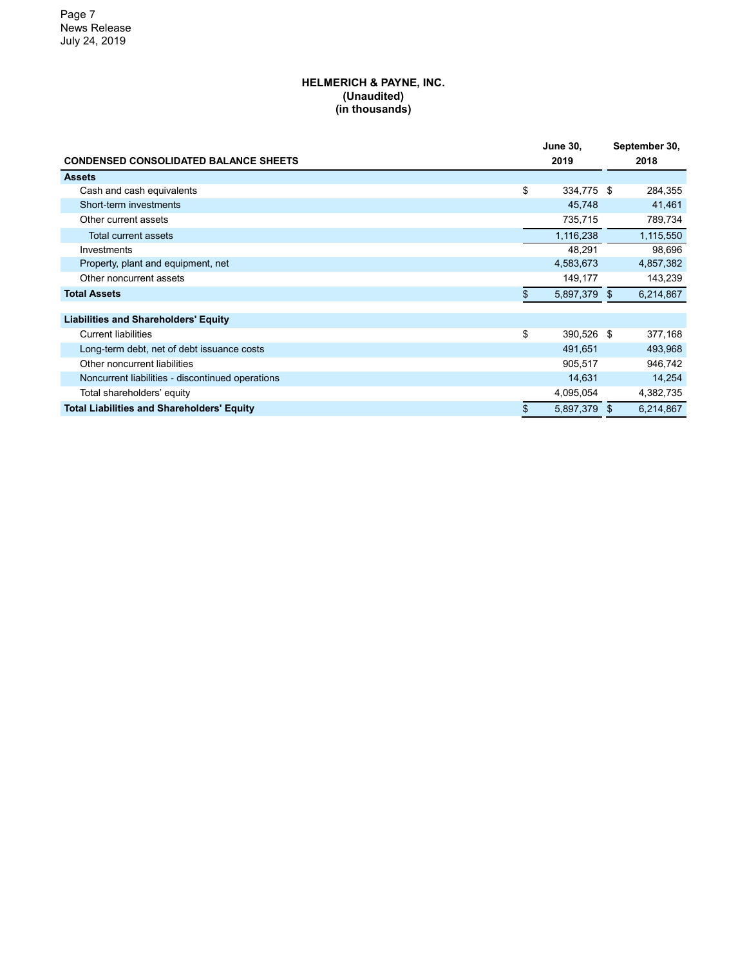#### **HELMERICH & PAYNE, INC. (Unaudited) (in thousands)**

|                                                   |    | <b>June 30,</b> |  | September 30, |
|---------------------------------------------------|----|-----------------|--|---------------|
| <b>CONDENSED CONSOLIDATED BALANCE SHEETS</b>      |    | 2019            |  | 2018          |
| <b>Assets</b>                                     |    |                 |  |               |
| Cash and cash equivalents                         | \$ | 334,775 \$      |  | 284,355       |
| Short-term investments                            |    | 45,748          |  | 41,461        |
| Other current assets                              |    | 735,715         |  | 789,734       |
| Total current assets                              |    | 1,116,238       |  | 1,115,550     |
| Investments                                       |    | 48,291          |  | 98,696        |
| Property, plant and equipment, net                |    | 4,583,673       |  | 4,857,382     |
| Other noncurrent assets                           |    | 149,177         |  | 143,239       |
| <b>Total Assets</b>                               |    | 5,897,379 \$    |  | 6,214,867     |
|                                                   |    |                 |  |               |
| <b>Liabilities and Shareholders' Equity</b>       |    |                 |  |               |
| <b>Current liabilities</b>                        | \$ | 390,526 \$      |  | 377,168       |
| Long-term debt, net of debt issuance costs        |    | 491,651         |  | 493,968       |
| Other noncurrent liabilities                      |    | 905,517         |  | 946,742       |
| Noncurrent liabilities - discontinued operations  |    | 14,631          |  | 14,254        |
| Total shareholders' equity                        |    | 4,095,054       |  | 4,382,735     |
| <b>Total Liabilities and Shareholders' Equity</b> | \$ | 5,897,379 \$    |  | 6,214,867     |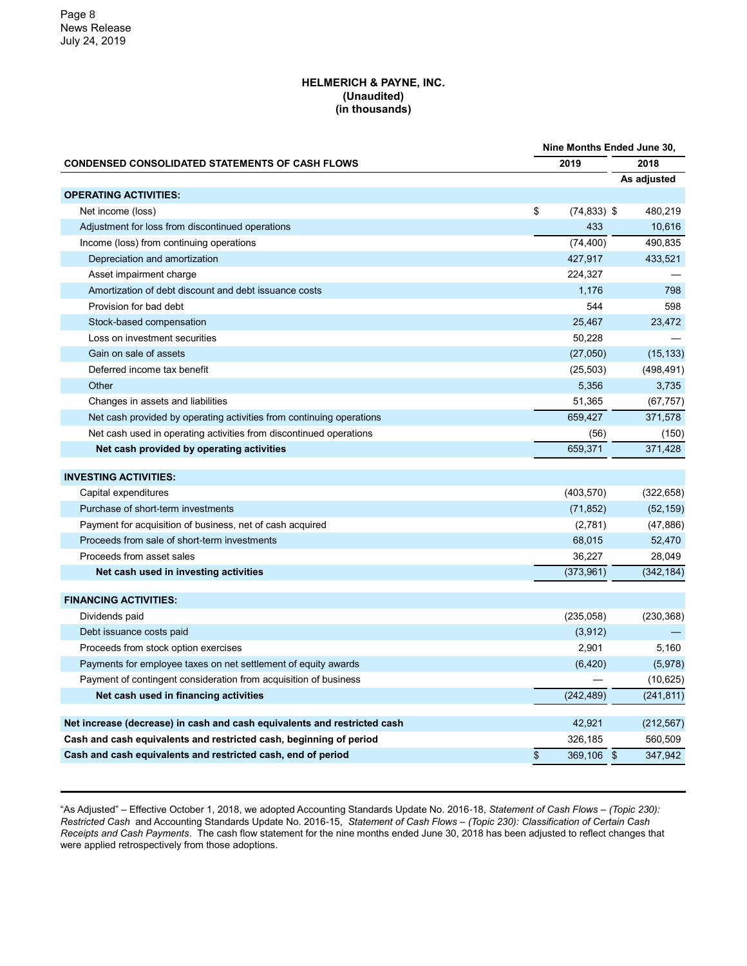#### **HELMERICH & PAYNE, INC. (Unaudited) (in thousands)**

|                                                                          | Nine Months Ended June 30, |                |             |  |
|--------------------------------------------------------------------------|----------------------------|----------------|-------------|--|
| <b>CONDENSED CONSOLIDATED STATEMENTS OF CASH FLOWS</b>                   |                            | 2019           | 2018        |  |
|                                                                          |                            |                | As adjusted |  |
| <b>OPERATING ACTIVITIES:</b>                                             |                            |                |             |  |
| Net income (loss)                                                        | \$                         | $(74, 833)$ \$ | 480,219     |  |
| Adjustment for loss from discontinued operations                         |                            | 433            | 10,616      |  |
| Income (loss) from continuing operations                                 |                            | (74, 400)      | 490,835     |  |
| Depreciation and amortization                                            |                            | 427,917        | 433,521     |  |
| Asset impairment charge                                                  |                            | 224,327        |             |  |
| Amortization of debt discount and debt issuance costs                    |                            | 1,176          | 798         |  |
| Provision for bad debt                                                   |                            | 544            | 598         |  |
| Stock-based compensation                                                 |                            | 25,467         | 23,472      |  |
| Loss on investment securities                                            |                            | 50,228         |             |  |
| Gain on sale of assets                                                   |                            | (27,050)       | (15, 133)   |  |
| Deferred income tax benefit                                              |                            | (25, 503)      | (498, 491)  |  |
| Other                                                                    |                            | 5,356          | 3,735       |  |
| Changes in assets and liabilities                                        |                            | 51,365         | (67, 757)   |  |
| Net cash provided by operating activities from continuing operations     |                            | 659,427        | 371,578     |  |
| Net cash used in operating activities from discontinued operations       |                            | (56)           | (150)       |  |
| Net cash provided by operating activities                                |                            | 659,371        | 371,428     |  |
|                                                                          |                            |                |             |  |
| <b>INVESTING ACTIVITIES:</b>                                             |                            |                |             |  |
| Capital expenditures                                                     |                            | (403, 570)     | (322, 658)  |  |
| Purchase of short-term investments                                       |                            | (71, 852)      | (52, 159)   |  |
| Payment for acquisition of business, net of cash acquired                |                            | (2,781)        | (47, 886)   |  |
| Proceeds from sale of short-term investments                             |                            | 68,015         | 52,470      |  |
| Proceeds from asset sales                                                |                            | 36,227         | 28,049      |  |
| Net cash used in investing activities                                    |                            | (373,961)      | (342, 184)  |  |
| <b>FINANCING ACTIVITIES:</b>                                             |                            |                |             |  |
| Dividends paid                                                           |                            | (235,058)      | (230, 368)  |  |
| Debt issuance costs paid                                                 |                            | (3,912)        |             |  |
| Proceeds from stock option exercises                                     |                            | 2,901          | 5,160       |  |
| Payments for employee taxes on net settlement of equity awards           |                            | (6, 420)       | (5,978)     |  |
| Payment of contingent consideration from acquisition of business         |                            |                | (10, 625)   |  |
| Net cash used in financing activities                                    |                            | (242, 489)     | (241, 811)  |  |
|                                                                          |                            |                |             |  |
| Net increase (decrease) in cash and cash equivalents and restricted cash |                            | 42,921         | (212, 567)  |  |
| Cash and cash equivalents and restricted cash, beginning of period       |                            | 326,185        | 560,509     |  |
| Cash and cash equivalents and restricted cash, end of period             | \$                         | 369,106 \$     | 347,942     |  |
|                                                                          |                            |                |             |  |

"As Adjusted" – Effective October 1, 2018, we adopted Accounting Standards Update No. 2016-18, *Statement of Cash Flows – (Topic 230): Restricted Cash* and Accounting Standards Update No. 2016-15, *Statement of Cash Flows – (Topic 230): Classification of Certain Cash Receipts and Cash Payments*. The cash flow statement for the nine months ended June 30, 2018 has been adjusted to reflect changes that were applied retrospectively from those adoptions.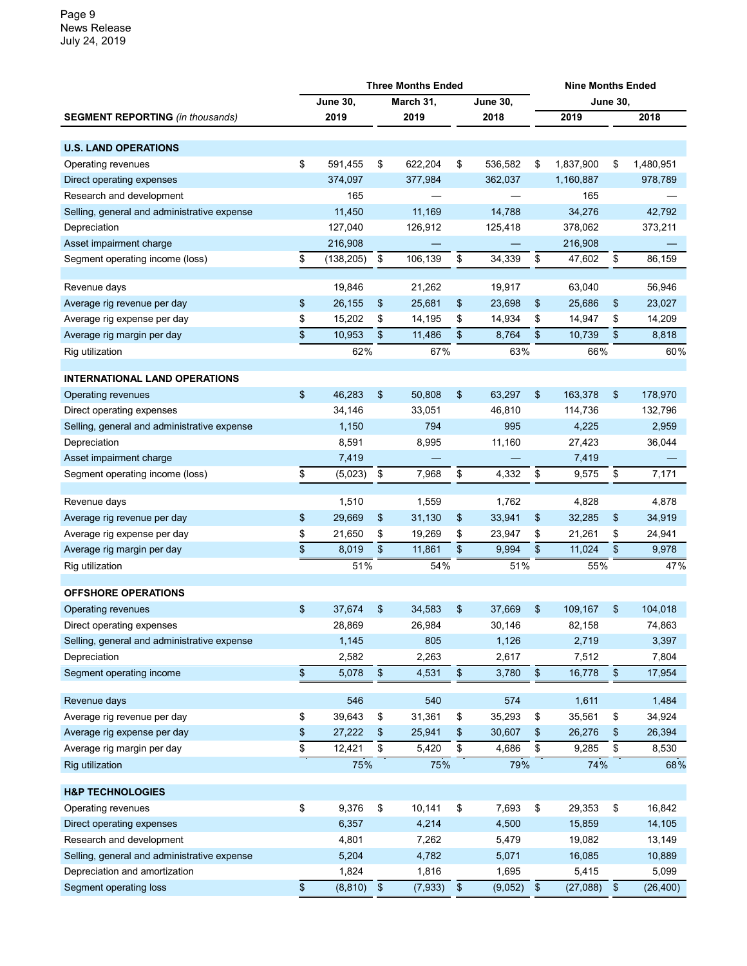|                                             | <b>Three Months Ended</b> |                 |      |           |      |                 |               | <b>Nine Months Ended</b> |      |           |  |  |  |
|---------------------------------------------|---------------------------|-----------------|------|-----------|------|-----------------|---------------|--------------------------|------|-----------|--|--|--|
|                                             |                           | <b>June 30,</b> |      | March 31, |      | <b>June 30,</b> |               | <b>June 30,</b>          |      |           |  |  |  |
| <b>SEGMENT REPORTING</b> (in thousands)     |                           | 2019            |      | 2019      |      | 2018            |               | 2019                     |      | 2018      |  |  |  |
|                                             |                           |                 |      |           |      |                 |               |                          |      |           |  |  |  |
| <b>U.S. LAND OPERATIONS</b>                 |                           |                 |      |           |      |                 |               |                          |      |           |  |  |  |
| Operating revenues                          | \$                        | 591,455         | \$   | 622,204   | \$   | 536,582         | \$            | 1,837,900                | \$   | 1,480,951 |  |  |  |
| Direct operating expenses                   |                           | 374,097         |      | 377,984   |      | 362,037         |               | 1,160,887                |      | 978,789   |  |  |  |
| Research and development                    |                           | 165             |      |           |      |                 |               | 165                      |      |           |  |  |  |
| Selling, general and administrative expense |                           | 11,450          |      | 11,169    |      | 14,788          |               | 34,276                   |      | 42,792    |  |  |  |
| Depreciation                                |                           | 127,040         |      | 126,912   |      | 125,418         |               | 378,062                  |      | 373,211   |  |  |  |
| Asset impairment charge                     |                           | 216,908         |      |           |      |                 |               | 216,908                  |      |           |  |  |  |
| Segment operating income (loss)             | \$                        | (138, 205)      | \$   | 106,139   | \$   | 34,339          | \$            | 47,602                   | \$   | 86,159    |  |  |  |
|                                             |                           |                 |      |           |      |                 |               |                          |      |           |  |  |  |
| Revenue days                                |                           | 19,846          |      | 21,262    |      | 19,917          |               | 63,040                   |      | 56,946    |  |  |  |
| Average rig revenue per day                 | \$                        | 26,155          | \$   | 25,681    | \$   | 23,698          | \$            | 25,686                   | \$   | 23,027    |  |  |  |
| Average rig expense per day                 | \$                        | 15,202          | \$   | 14,195    | \$   | 14,934          | \$            | 14,947                   | \$   | 14,209    |  |  |  |
| Average rig margin per day                  | \$                        | 10,953          | \$   | 11,486    | \$   | 8,764           | \$            | 10,739                   | \$   | 8,818     |  |  |  |
| Rig utilization                             |                           | 62%             |      | 67%       |      | 63%             |               | 66%                      |      | 60%       |  |  |  |
|                                             |                           |                 |      |           |      |                 |               |                          |      |           |  |  |  |
| <b>INTERNATIONAL LAND OPERATIONS</b>        |                           |                 |      |           |      |                 |               |                          |      |           |  |  |  |
| Operating revenues                          | \$                        | 46,283          | \$   | 50,808    | \$   | 63,297          | \$            | 163,378                  | \$   | 178,970   |  |  |  |
| Direct operating expenses                   |                           | 34,146          |      | 33,051    |      | 46,810          |               | 114,736                  |      | 132,796   |  |  |  |
| Selling, general and administrative expense |                           | 1,150           |      | 794       |      | 995             |               | 4,225                    |      | 2,959     |  |  |  |
| Depreciation                                |                           | 8,591           |      | 8,995     |      | 11,160          |               | 27,423                   |      | 36,044    |  |  |  |
| Asset impairment charge                     |                           | 7,419           |      |           |      |                 |               | 7,419                    |      |           |  |  |  |
| Segment operating income (loss)             | \$                        | (5,023)         | \$   | 7,968     | \$   | 4,332           | \$            | 9,575                    | \$   | 7,171     |  |  |  |
|                                             |                           |                 |      |           |      |                 |               |                          |      |           |  |  |  |
| Revenue days                                |                           | 1,510           |      | 1,559     |      | 1,762           |               | 4,828                    |      | 4,878     |  |  |  |
| Average rig revenue per day                 | \$                        | 29,669          | \$   | 31,130    | \$   | 33,941          | \$            | 32,285                   | \$   | 34,919    |  |  |  |
| Average rig expense per day                 | \$                        | 21,650          | \$   | 19,269    | \$   | 23,947          | \$            | 21,261                   | \$   | 24,941    |  |  |  |
| Average rig margin per day                  | \$                        | 8,019           | \$   | 11,861    | \$   | 9,994           | \$            | 11,024                   | \$   | 9,978     |  |  |  |
| Rig utilization                             |                           | 51%             |      | 54%       |      | 51%             |               | 55%                      |      | 47%       |  |  |  |
| <b>OFFSHORE OPERATIONS</b>                  |                           |                 |      |           |      |                 |               |                          |      |           |  |  |  |
|                                             |                           | 37,674          |      |           |      |                 |               |                          |      |           |  |  |  |
| Operating revenues                          | \$                        |                 | \$   | 34,583    | \$   | 37,669          | \$            | 109,167                  | \$   | 104,018   |  |  |  |
| Direct operating expenses                   |                           | 28,869          |      | 26,984    |      | 30,146          |               | 82,158                   |      | 74,863    |  |  |  |
| Selling, general and administrative expense |                           | 1,145           |      | 805       |      | 1,126           |               | 2,719                    |      | 3,397     |  |  |  |
| Depreciation                                |                           | 2,582           |      | 2,263     |      | 2,617           |               | 7,512                    |      | 7,804     |  |  |  |
| Segment operating income                    | \$                        | 5,078           | $\,$ | 4,531     | \$   | 3,780           | \$            | 16,778                   | $\,$ | 17,954    |  |  |  |
| Revenue days                                |                           | 546             |      | 540       |      | 574             |               | 1,611                    |      | 1,484     |  |  |  |
| Average rig revenue per day                 | \$                        | 39,643          | \$   | 31,361    | \$   | 35,293          | \$            | 35,561                   | \$   | 34,924    |  |  |  |
| Average rig expense per day                 | \$                        | 27,222          | \$   | 25,941    | \$   | 30,607          | \$            | 26,276                   | \$   | 26,394    |  |  |  |
| Average rig margin per day                  | \$                        | 12,421          | \$   | 5,420     | \$   | 4,686           | \$            | 9,285                    | \$   | 8,530     |  |  |  |
| <b>Rig utilization</b>                      |                           | 75%             |      | 75%       |      | 79%             |               | 74%                      |      | 68%       |  |  |  |
|                                             |                           |                 |      |           |      |                 |               |                          |      |           |  |  |  |
| <b>H&amp;P TECHNOLOGIES</b>                 |                           |                 |      |           |      |                 |               |                          |      |           |  |  |  |
| Operating revenues                          | \$                        | 9,376           | \$   | 10,141    | \$   | 7,693           | \$            | 29,353                   | \$   | 16,842    |  |  |  |
| Direct operating expenses                   |                           | 6,357           |      | 4,214     |      | 4,500           |               | 15,859                   |      | 14,105    |  |  |  |
| Research and development                    |                           | 4,801           |      | 7,262     |      | 5,479           |               | 19,082                   |      | 13,149    |  |  |  |
| Selling, general and administrative expense |                           | 5,204           |      | 4,782     |      | 5,071           |               | 16,085                   |      | 10,889    |  |  |  |
| Depreciation and amortization               |                           | 1,824           |      | 1,816     |      | 1,695           |               | 5,415                    |      | 5,099     |  |  |  |
| Segment operating loss                      | $\,$                      | (8, 810)        | $\,$ | (7, 933)  | $\,$ | (9,052)         | $\sqrt[6]{3}$ | (27, 088)                | $\,$ | (26, 400) |  |  |  |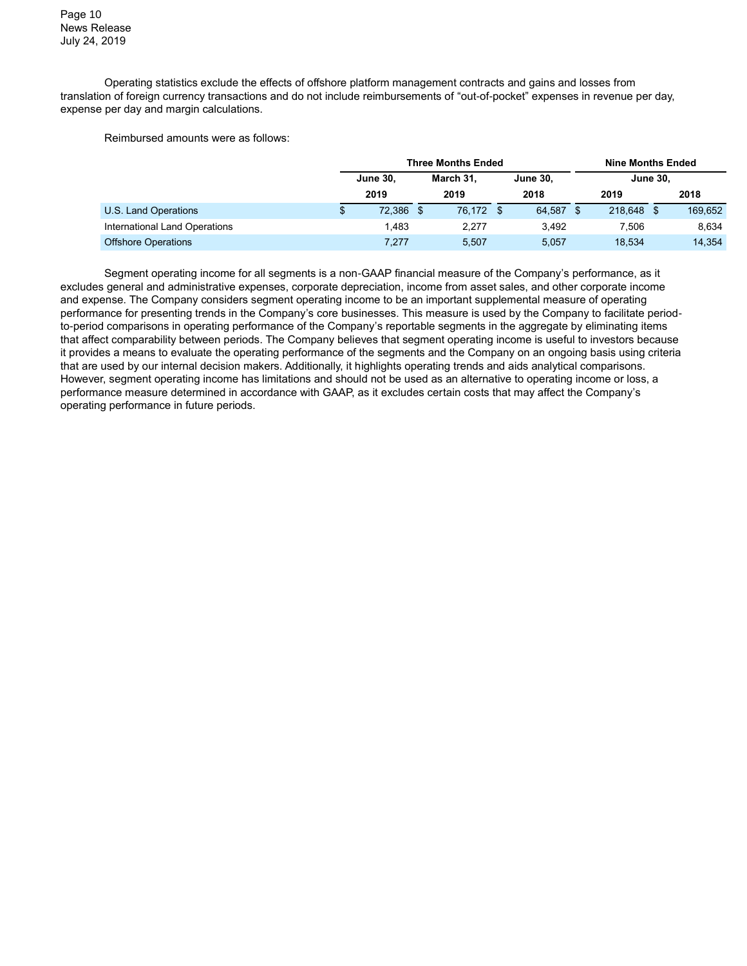Operating statistics exclude the effects of offshore platform management contracts and gains and losses from translation of foreign currency transactions and do not include reimbursements of "out-of-pocket" expenses in revenue per day, expense per day and margin calculations.

Reimbursed amounts were as follows:

|                               | <b>Three Months Ended</b> |  |           |      |                 |          | <b>Nine Months Ended</b> |                 |         |  |
|-------------------------------|---------------------------|--|-----------|------|-----------------|----------|--------------------------|-----------------|---------|--|
|                               | <b>June 30,</b>           |  | March 31, |      | <b>June 30.</b> |          |                          | <b>June 30.</b> |         |  |
|                               | 2019                      |  | 2019      |      | 2018            |          | 2019                     |                 | 2018    |  |
| U.S. Land Operations          | 72.386 \$                 |  | 76.172    | - \$ | 64.587          | <b>S</b> | 218.648                  |                 | 169.652 |  |
| International Land Operations | 1.483                     |  | 2.277     |      | 3.492           |          | 7.506                    |                 | 8.634   |  |
| <b>Offshore Operations</b>    | 7,277                     |  | 5.507     |      | 5,057           |          | 18,534                   |                 | 14.354  |  |

Segment operating income for all segments is a non-GAAP financial measure of the Company's performance, as it excludes general and administrative expenses, corporate depreciation, income from asset sales, and other corporate income and expense. The Company considers segment operating income to be an important supplemental measure of operating performance for presenting trends in the Company's core businesses. This measure is used by the Company to facilitate periodto-period comparisons in operating performance of the Company's reportable segments in the aggregate by eliminating items that affect comparability between periods. The Company believes that segment operating income is useful to investors because it provides a means to evaluate the operating performance of the segments and the Company on an ongoing basis using criteria that are used by our internal decision makers. Additionally, it highlights operating trends and aids analytical comparisons. However, segment operating income has limitations and should not be used as an alternative to operating income or loss, a performance measure determined in accordance with GAAP, as it excludes certain costs that may affect the Company's operating performance in future periods.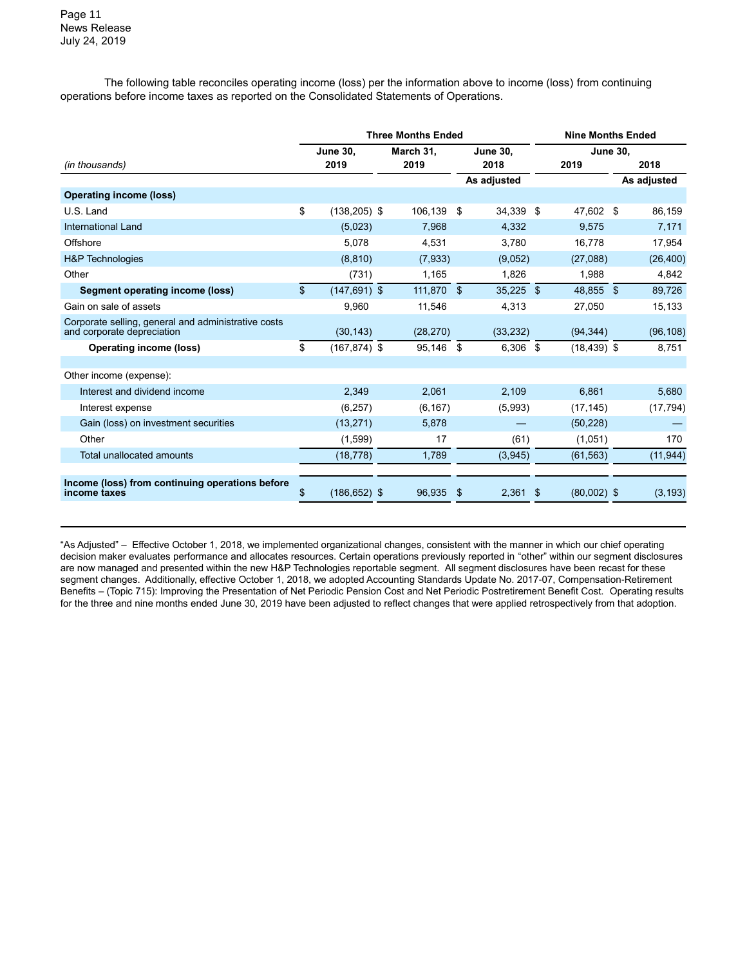The following table reconciles operating income (loss) per the information above to income (loss) from continuing operations before income taxes as reported on the Consolidated Statements of Operations.

|                                                                                   |                 |                 |           | <b>Three Months Ended</b> | <b>Nine Months Ended</b> |             |     |                 |  |             |
|-----------------------------------------------------------------------------------|-----------------|-----------------|-----------|---------------------------|--------------------------|-------------|-----|-----------------|--|-------------|
|                                                                                   | <b>June 30.</b> |                 | March 31, |                           | <b>June 30,</b>          |             |     | <b>June 30,</b> |  |             |
| (in thousands)                                                                    |                 | 2019            |           | 2019                      |                          | 2018        |     | 2019            |  | 2018        |
|                                                                                   |                 |                 |           |                           |                          | As adjusted |     |                 |  | As adjusted |
| <b>Operating income (loss)</b>                                                    |                 |                 |           |                           |                          |             |     |                 |  |             |
| U.S. Land                                                                         | \$              | $(138, 205)$ \$ |           | 106,139                   | \$                       | 34,339 \$   |     | 47,602 \$       |  | 86,159      |
| International Land                                                                |                 | (5,023)         |           | 7,968                     |                          | 4,332       |     | 9,575           |  | 7,171       |
| Offshore                                                                          |                 | 5,078           |           | 4,531                     |                          | 3,780       |     | 16,778          |  | 17,954      |
| <b>H&amp;P</b> Technologies                                                       |                 | (8, 810)        |           | (7,933)                   |                          | (9,052)     |     | (27,088)        |  | (26, 400)   |
| Other                                                                             |                 | (731)           |           | 1,165                     |                          | 1,826       |     | 1,988           |  | 4,842       |
| <b>Segment operating income (loss)</b>                                            | \$              | $(147, 691)$ \$ |           | 111,870                   | \$                       | $35,225$ \$ |     | 48,855 \$       |  | 89,726      |
| Gain on sale of assets                                                            |                 | 9,960           |           | 11,546                    |                          | 4,313       |     | 27,050          |  | 15,133      |
| Corporate selling, general and administrative costs<br>and corporate depreciation |                 | (30, 143)       |           | (28, 270)                 |                          | (33, 232)   |     | (94, 344)       |  | (96, 108)   |
| <b>Operating income (loss)</b>                                                    | \$              | (167,874) \$    |           | 95,146                    | \$                       | $6,306$ \$  |     | $(18, 439)$ \$  |  | 8,751       |
| Other income (expense):                                                           |                 |                 |           |                           |                          |             |     |                 |  |             |
| Interest and dividend income                                                      |                 | 2,349           |           | 2,061                     |                          | 2,109       |     | 6,861           |  | 5,680       |
| Interest expense                                                                  |                 | (6, 257)        |           | (6, 167)                  |                          | (5,993)     |     | (17, 145)       |  | (17, 794)   |
| Gain (loss) on investment securities                                              |                 | (13, 271)       |           | 5,878                     |                          |             |     | (50, 228)       |  |             |
| Other                                                                             |                 | (1,599)         |           | 17                        |                          | (61)        |     | (1,051)         |  | 170         |
| Total unallocated amounts                                                         |                 | (18, 778)       |           | 1,789                     |                          | (3,945)     |     | (61, 563)       |  | (11, 944)   |
|                                                                                   |                 |                 |           |                           |                          |             |     |                 |  |             |
| Income (loss) from continuing operations before<br>income taxes                   | \$              | $(186, 652)$ \$ |           | 96,935                    | \$                       | 2,361       | -\$ | $(80,002)$ \$   |  | (3, 193)    |

"As Adjusted" – Effective October 1, 2018, we implemented organizational changes, consistent with the manner in which our chief operating decision maker evaluates performance and allocates resources. Certain operations previously reported in "other" within our segment disclosures are now managed and presented within the new H&P Technologies reportable segment. All segment disclosures have been recast for these segment changes. Additionally, effective October 1, 2018, we adopted Accounting Standards Update No. 2017-07, Compensation-Retirement Benefits – (Topic 715): Improving the Presentation of Net Periodic Pension Cost and Net Periodic Postretirement Benefit Cost. Operating results for the three and nine months ended June 30, 2019 have been adjusted to reflect changes that were applied retrospectively from that adoption.